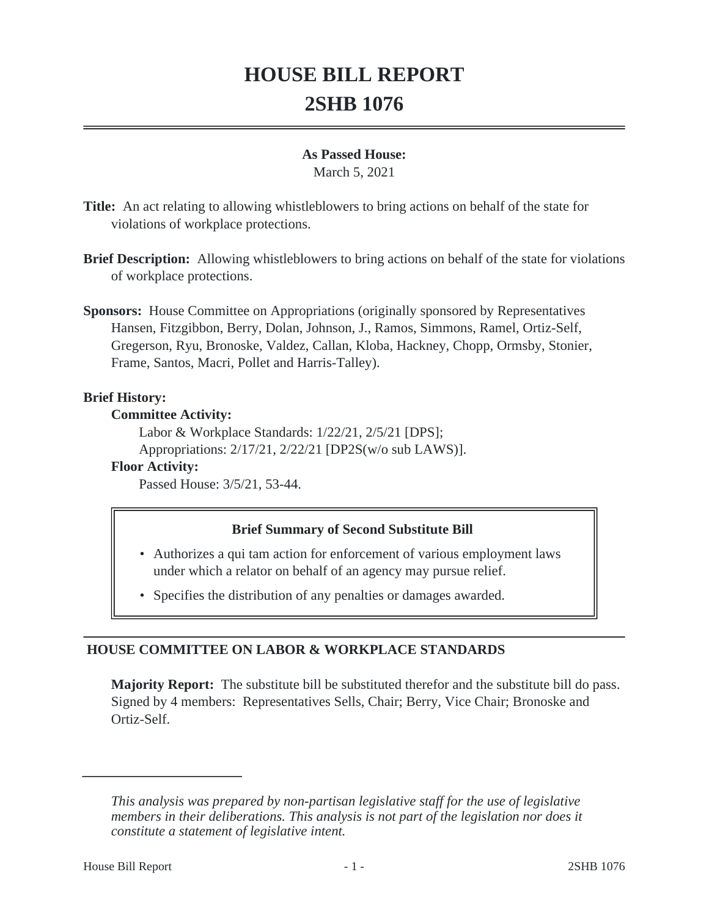# **HOUSE BILL REPORT 2SHB 1076**

#### **As Passed House:**

March 5, 2021

**Title:** An act relating to allowing whistleblowers to bring actions on behalf of the state for violations of workplace protections.

- **Brief Description:** Allowing whistleblowers to bring actions on behalf of the state for violations of workplace protections.
- **Sponsors:** House Committee on Appropriations (originally sponsored by Representatives Hansen, Fitzgibbon, Berry, Dolan, Johnson, J., Ramos, Simmons, Ramel, Ortiz-Self, Gregerson, Ryu, Bronoske, Valdez, Callan, Kloba, Hackney, Chopp, Ormsby, Stonier, Frame, Santos, Macri, Pollet and Harris-Talley).

#### **Brief History:**

#### **Committee Activity:**

Labor & Workplace Standards: 1/22/21, 2/5/21 [DPS]; Appropriations: 2/17/21, 2/22/21 [DP2S(w/o sub LAWS)].

# **Floor Activity:**

Passed House: 3/5/21, 53-44.

# **Brief Summary of Second Substitute Bill**

- Authorizes a qui tam action for enforcement of various employment laws under which a relator on behalf of an agency may pursue relief.
- Specifies the distribution of any penalties or damages awarded.

# **HOUSE COMMITTEE ON LABOR & WORKPLACE STANDARDS**

**Majority Report:** The substitute bill be substituted therefor and the substitute bill do pass. Signed by 4 members: Representatives Sells, Chair; Berry, Vice Chair; Bronoske and Ortiz-Self.

*This analysis was prepared by non-partisan legislative staff for the use of legislative members in their deliberations. This analysis is not part of the legislation nor does it constitute a statement of legislative intent.*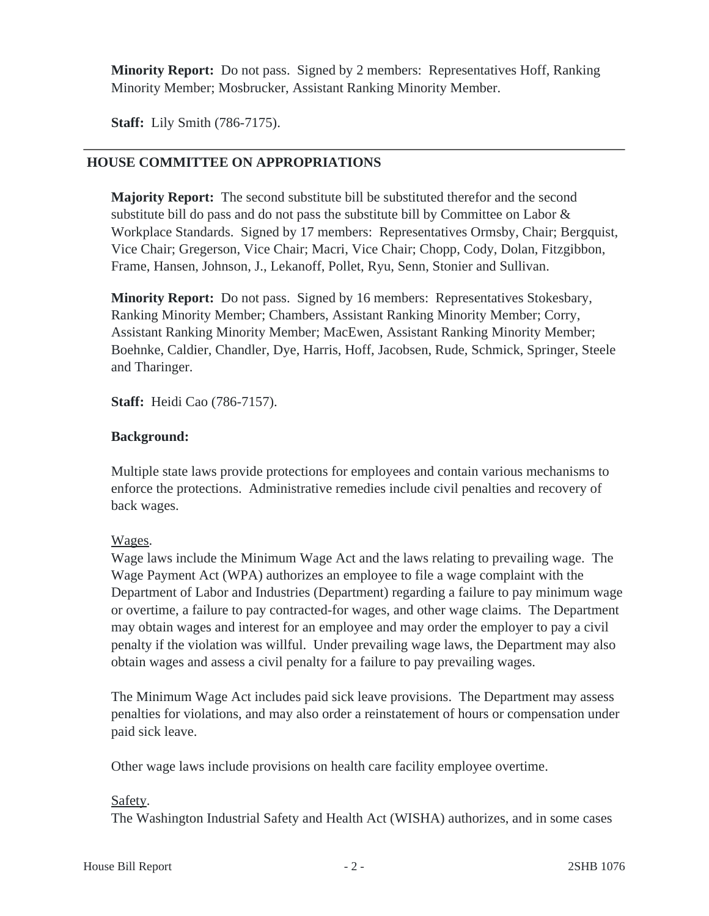**Minority Report:** Do not pass. Signed by 2 members: Representatives Hoff, Ranking Minority Member; Mosbrucker, Assistant Ranking Minority Member.

**Staff:** Lily Smith (786-7175).

### **HOUSE COMMITTEE ON APPROPRIATIONS**

**Majority Report:** The second substitute bill be substituted therefor and the second substitute bill do pass and do not pass the substitute bill by Committee on Labor & Workplace Standards. Signed by 17 members: Representatives Ormsby, Chair; Bergquist, Vice Chair; Gregerson, Vice Chair; Macri, Vice Chair; Chopp, Cody, Dolan, Fitzgibbon, Frame, Hansen, Johnson, J., Lekanoff, Pollet, Ryu, Senn, Stonier and Sullivan.

**Minority Report:** Do not pass. Signed by 16 members: Representatives Stokesbary, Ranking Minority Member; Chambers, Assistant Ranking Minority Member; Corry, Assistant Ranking Minority Member; MacEwen, Assistant Ranking Minority Member; Boehnke, Caldier, Chandler, Dye, Harris, Hoff, Jacobsen, Rude, Schmick, Springer, Steele and Tharinger.

**Staff:** Heidi Cao (786-7157).

#### **Background:**

Multiple state laws provide protections for employees and contain various mechanisms to enforce the protections. Administrative remedies include civil penalties and recovery of back wages.

# Wages.

Wage laws include the Minimum Wage Act and the laws relating to prevailing wage. The Wage Payment Act (WPA) authorizes an employee to file a wage complaint with the Department of Labor and Industries (Department) regarding a failure to pay minimum wage or overtime, a failure to pay contracted-for wages, and other wage claims. The Department may obtain wages and interest for an employee and may order the employer to pay a civil penalty if the violation was willful. Under prevailing wage laws, the Department may also obtain wages and assess a civil penalty for a failure to pay prevailing wages.

The Minimum Wage Act includes paid sick leave provisions. The Department may assess penalties for violations, and may also order a reinstatement of hours or compensation under paid sick leave.

Other wage laws include provisions on health care facility employee overtime.

#### Safety.

The Washington Industrial Safety and Health Act (WISHA) authorizes, and in some cases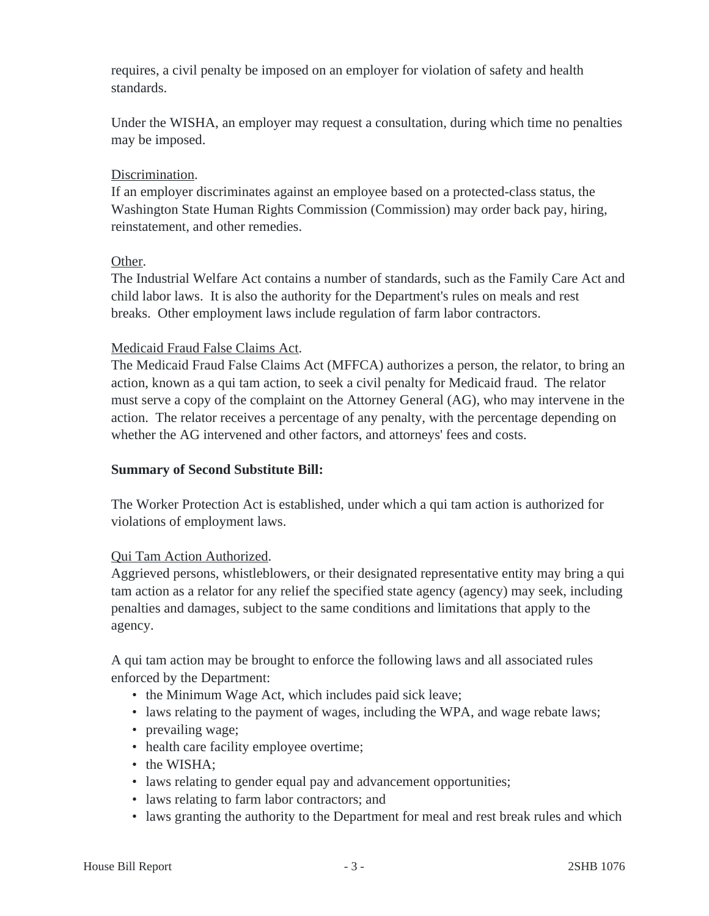requires, a civil penalty be imposed on an employer for violation of safety and health standards.

Under the WISHA, an employer may request a consultation, during which time no penalties may be imposed.

# Discrimination.

If an employer discriminates against an employee based on a protected-class status, the Washington State Human Rights Commission (Commission) may order back pay, hiring, reinstatement, and other remedies.

# Other.

The Industrial Welfare Act contains a number of standards, such as the Family Care Act and child labor laws. It is also the authority for the Department's rules on meals and rest breaks. Other employment laws include regulation of farm labor contractors.

# Medicaid Fraud False Claims Act.

The Medicaid Fraud False Claims Act (MFFCA) authorizes a person, the relator, to bring an action, known as a qui tam action, to seek a civil penalty for Medicaid fraud. The relator must serve a copy of the complaint on the Attorney General (AG), who may intervene in the action. The relator receives a percentage of any penalty, with the percentage depending on whether the AG intervened and other factors, and attorneys' fees and costs.

# **Summary of Second Substitute Bill:**

The Worker Protection Act is established, under which a qui tam action is authorized for violations of employment laws.

# Qui Tam Action Authorized.

Aggrieved persons, whistleblowers, or their designated representative entity may bring a qui tam action as a relator for any relief the specified state agency (agency) may seek, including penalties and damages, subject to the same conditions and limitations that apply to the agency.

A qui tam action may be brought to enforce the following laws and all associated rules enforced by the Department:

- the Minimum Wage Act, which includes paid sick leave;
- laws relating to the payment of wages, including the WPA, and wage rebate laws;
- prevailing wage;
- health care facility employee overtime;
- the WISHA;
- laws relating to gender equal pay and advancement opportunities;
- laws relating to farm labor contractors; and
- laws granting the authority to the Department for meal and rest break rules and which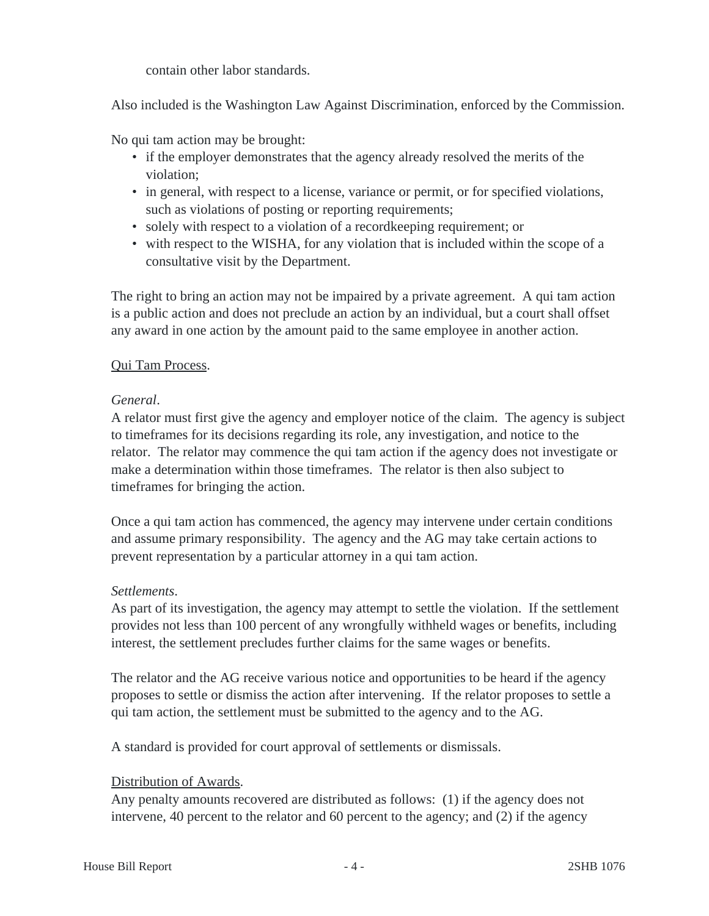contain other labor standards.

Also included is the Washington Law Against Discrimination, enforced by the Commission.

No qui tam action may be brought:

- if the employer demonstrates that the agency already resolved the merits of the violation;
- in general, with respect to a license, variance or permit, or for specified violations, such as violations of posting or reporting requirements;
- solely with respect to a violation of a recordkeeping requirement; or
- with respect to the WISHA, for any violation that is included within the scope of a consultative visit by the Department.

The right to bring an action may not be impaired by a private agreement. A qui tam action is a public action and does not preclude an action by an individual, but a court shall offset any award in one action by the amount paid to the same employee in another action.

#### Qui Tam Process.

#### *General*.

A relator must first give the agency and employer notice of the claim. The agency is subject to timeframes for its decisions regarding its role, any investigation, and notice to the relator. The relator may commence the qui tam action if the agency does not investigate or make a determination within those timeframes. The relator is then also subject to timeframes for bringing the action.

Once a qui tam action has commenced, the agency may intervene under certain conditions and assume primary responsibility. The agency and the AG may take certain actions to prevent representation by a particular attorney in a qui tam action.

#### *Settlements*.

As part of its investigation, the agency may attempt to settle the violation. If the settlement provides not less than 100 percent of any wrongfully withheld wages or benefits, including interest, the settlement precludes further claims for the same wages or benefits.

The relator and the AG receive various notice and opportunities to be heard if the agency proposes to settle or dismiss the action after intervening. If the relator proposes to settle a qui tam action, the settlement must be submitted to the agency and to the AG.

A standard is provided for court approval of settlements or dismissals.

# Distribution of Awards.

Any penalty amounts recovered are distributed as follows: (1) if the agency does not intervene, 40 percent to the relator and 60 percent to the agency; and (2) if the agency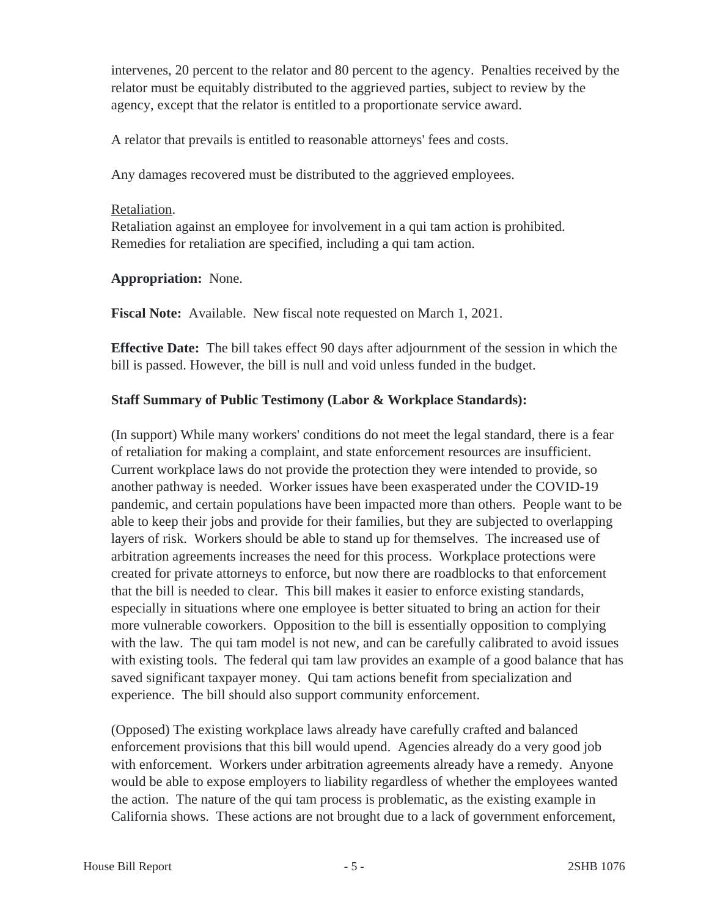intervenes, 20 percent to the relator and 80 percent to the agency. Penalties received by the relator must be equitably distributed to the aggrieved parties, subject to review by the agency, except that the relator is entitled to a proportionate service award.

A relator that prevails is entitled to reasonable attorneys' fees and costs.

Any damages recovered must be distributed to the aggrieved employees.

#### Retaliation.

Retaliation against an employee for involvement in a qui tam action is prohibited. Remedies for retaliation are specified, including a qui tam action.

#### **Appropriation:** None.

**Fiscal Note:** Available. New fiscal note requested on March 1, 2021.

**Effective Date:** The bill takes effect 90 days after adjournment of the session in which the bill is passed. However, the bill is null and void unless funded in the budget.

# **Staff Summary of Public Testimony (Labor & Workplace Standards):**

(In support) While many workers' conditions do not meet the legal standard, there is a fear of retaliation for making a complaint, and state enforcement resources are insufficient. Current workplace laws do not provide the protection they were intended to provide, so another pathway is needed. Worker issues have been exasperated under the COVID-19 pandemic, and certain populations have been impacted more than others. People want to be able to keep their jobs and provide for their families, but they are subjected to overlapping layers of risk. Workers should be able to stand up for themselves. The increased use of arbitration agreements increases the need for this process. Workplace protections were created for private attorneys to enforce, but now there are roadblocks to that enforcement that the bill is needed to clear. This bill makes it easier to enforce existing standards, especially in situations where one employee is better situated to bring an action for their more vulnerable coworkers. Opposition to the bill is essentially opposition to complying with the law. The qui tam model is not new, and can be carefully calibrated to avoid issues with existing tools. The federal qui tam law provides an example of a good balance that has saved significant taxpayer money. Qui tam actions benefit from specialization and experience. The bill should also support community enforcement.

(Opposed) The existing workplace laws already have carefully crafted and balanced enforcement provisions that this bill would upend. Agencies already do a very good job with enforcement. Workers under arbitration agreements already have a remedy. Anyone would be able to expose employers to liability regardless of whether the employees wanted the action. The nature of the qui tam process is problematic, as the existing example in California shows. These actions are not brought due to a lack of government enforcement,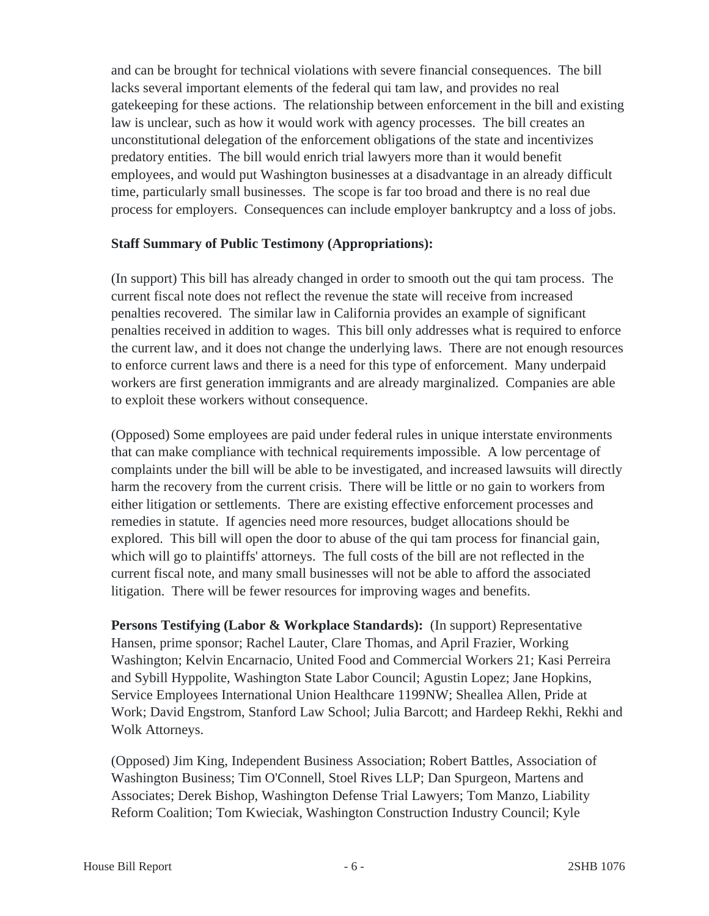and can be brought for technical violations with severe financial consequences. The bill lacks several important elements of the federal qui tam law, and provides no real gatekeeping for these actions. The relationship between enforcement in the bill and existing law is unclear, such as how it would work with agency processes. The bill creates an unconstitutional delegation of the enforcement obligations of the state and incentivizes predatory entities. The bill would enrich trial lawyers more than it would benefit employees, and would put Washington businesses at a disadvantage in an already difficult time, particularly small businesses. The scope is far too broad and there is no real due process for employers. Consequences can include employer bankruptcy and a loss of jobs.

#### **Staff Summary of Public Testimony (Appropriations):**

(In support) This bill has already changed in order to smooth out the qui tam process. The current fiscal note does not reflect the revenue the state will receive from increased penalties recovered. The similar law in California provides an example of significant penalties received in addition to wages. This bill only addresses what is required to enforce the current law, and it does not change the underlying laws. There are not enough resources to enforce current laws and there is a need for this type of enforcement. Many underpaid workers are first generation immigrants and are already marginalized. Companies are able to exploit these workers without consequence.

(Opposed) Some employees are paid under federal rules in unique interstate environments that can make compliance with technical requirements impossible. A low percentage of complaints under the bill will be able to be investigated, and increased lawsuits will directly harm the recovery from the current crisis. There will be little or no gain to workers from either litigation or settlements. There are existing effective enforcement processes and remedies in statute. If agencies need more resources, budget allocations should be explored. This bill will open the door to abuse of the qui tam process for financial gain, which will go to plaintiffs' attorneys. The full costs of the bill are not reflected in the current fiscal note, and many small businesses will not be able to afford the associated litigation. There will be fewer resources for improving wages and benefits.

**Persons Testifying (Labor & Workplace Standards):** (In support) Representative Hansen, prime sponsor; Rachel Lauter, Clare Thomas, and April Frazier, Working Washington; Kelvin Encarnacio, United Food and Commercial Workers 21; Kasi Perreira and Sybill Hyppolite, Washington State Labor Council; Agustin Lopez; Jane Hopkins, Service Employees International Union Healthcare 1199NW; Sheallea Allen, Pride at Work; David Engstrom, Stanford Law School; Julia Barcott; and Hardeep Rekhi, Rekhi and Wolk Attorneys.

(Opposed) Jim King, Independent Business Association; Robert Battles, Association of Washington Business; Tim O'Connell, Stoel Rives LLP; Dan Spurgeon, Martens and Associates; Derek Bishop, Washington Defense Trial Lawyers; Tom Manzo, Liability Reform Coalition; Tom Kwieciak, Washington Construction Industry Council; Kyle